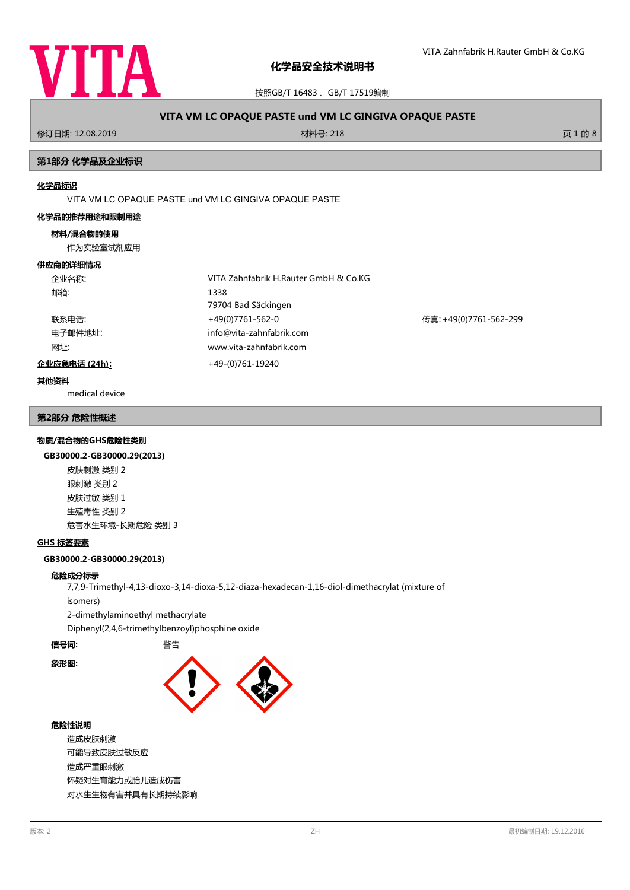

按照GB/T 16483 、GB/T 17519编制

# **VITA VM LC OPAQUE PASTE und VM LC GINGIVA OPAQUE PASTE**

修订日期: 12.08.2019 材料号: 218 页 1 的 8

## **第1部分 化学品及企业标识**

#### **化学品标识**

VITA VM LC OPAQUE PASTE und VM LC GINGIVA OPAQUE PASTE

#### **化学品的推荐用途和限制用途**

#### **材料/混合物的使用**

作为实验室试剂应用

#### **供应商的详细情况**

| 企业名称:         | VITA Zahnfabrik H.Rauter GmbH & Co.KG |                        |
|---------------|---------------------------------------|------------------------|
| 邮箱:           | 1338                                  |                        |
|               | 79704 Bad Säckingen                   |                        |
| 联系电话:         | +49(0)7761-562-0                      | 传真: +49(0)7761-562-299 |
| 电子邮件地址:       | info@vita-zahnfabrik.com              |                        |
| 网址:           | www.vita-zahnfabrik.com               |                        |
| 企业应急电话 (24h): | +49-(0)761-19240                      |                        |
|               |                                       |                        |

#### **其他资料**

medical device

#### **第2部分 危险性概述**

#### **物质/混合物的GHS危险性类别**

#### **GB30000.2-GB30000.29(2013)**

皮肤刺激 类别 2 眼刺激 类别 2 皮肤过敏 类别 1 生殖毒性 类别 2 危害水生环境-长期危险 类别 3

#### **GHS 标签要素**

**GB30000.2-GB30000.29(2013)**

#### **危险成分标示**

7,7,9-Trimethyl-4,13-dioxo-3,14-dioxa-5,12-diaza-hexadecan-1,16-diol-dimethacrylat (mixture of

isomers)

2-dimethylaminoethyl methacrylate

Diphenyl(2,4,6-trimethylbenzoyl)phosphine oxide

## **信号词:** 警告

**象形图:**



#### **危险性说明**

造成皮肤刺激 可能导致皮肤过敏反应 造成严重眼刺激 怀疑对生育能力或胎儿造成伤害 对水生生物有害并具有长期持续影响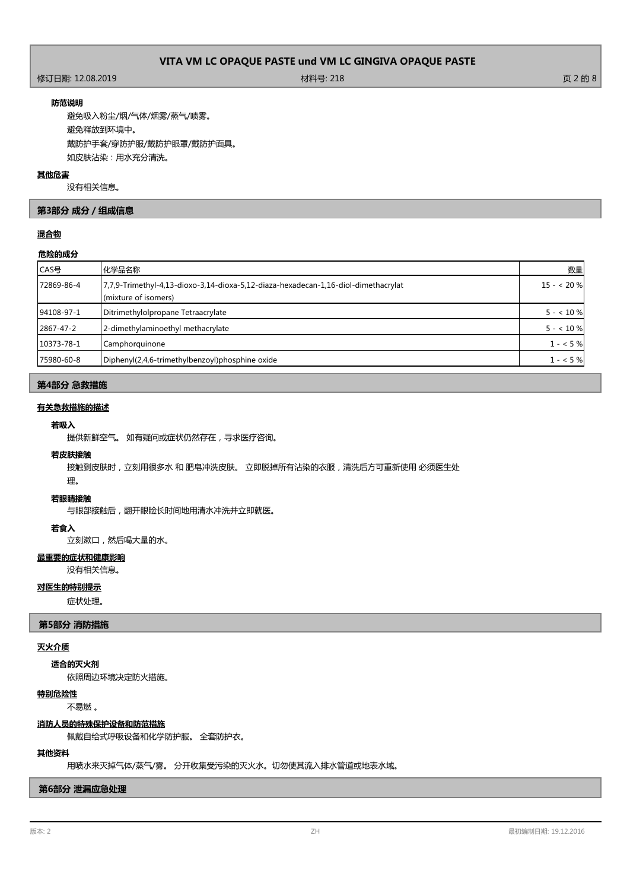## 修订日期: 12.08.2019 材料号: 218 页 2 的 8

#### **防范说明**

避免吸入粉尘/烟/气体/烟雾/蒸气/啧雾。 避免释放到环境中。 戴防护手套/穿防护服/戴防护眼罩/戴防护面具。 如皮肤沾染:用水充分清洗。

#### **其他危害**

没有相关信息。

### **第3部分 成分/组成信息**

## **混合物**

#### **危险的成分**

| CAS号       | 化学品名称                                                                                                      | 数量         |
|------------|------------------------------------------------------------------------------------------------------------|------------|
| 72869-86-4 | 7,7,9-Trimethyl-4,13-dioxo-3,14-dioxa-5,12-diaza-hexadecan-1,16-diol-dimethacrylat<br>(mixture of isomers) | $15 - 20%$ |
| 94108-97-1 | Ditrimethylolpropane Tetraacrylate                                                                         | $5 - 10%$  |
| 2867-47-2  | 2-dimethylaminoethyl methacrylate                                                                          | $5 - 10%$  |
| 10373-78-1 | Camphorquinone                                                                                             | $1 - 5\%$  |
| 75980-60-8 | Diphenyl(2,4,6-trimethylbenzoyl)phosphine oxide                                                            | $1 - 5\%$  |

## **第4部分 急救措施**

## **有关急救措施的描述**

#### **若吸入**

提供新鲜空气。 如有疑问或症状仍然存在,寻求医疗咨询。

## **若皮肤接触**

接触到皮肤时,立刻用很多水 和 肥皂冲洗皮肤。 立即脱掉所有沾染的衣服,清洗后方可重新使用 必须医生处

# 理。

## **若眼睛接触**

与眼部接触后,翻开眼睑长时间地用清水冲洗并立即就医。

#### **若食入**

立刻漱口,然后喝大量的水。

## **最重要的症状和健康影响**

没有相关信息。

## **对医生的特别提示**

症状处理。

## **第5部分 消防措施**

## **灭火介质**

#### **适合的灭火剂**

依照周边环境决定防火措施。

## **特别危险性**

不易燃 。

#### **消防人员的特殊保护设备和防范措施**

佩戴自给式呼吸设备和化学防护服。 全套防护衣。

#### **其他资料**

用喷水来灭掉气体/蒸气/雾。 分开收集受污染的灭火水。切勿使其流入排水管道或地表水域。

#### **第6部分 泄漏应急处理**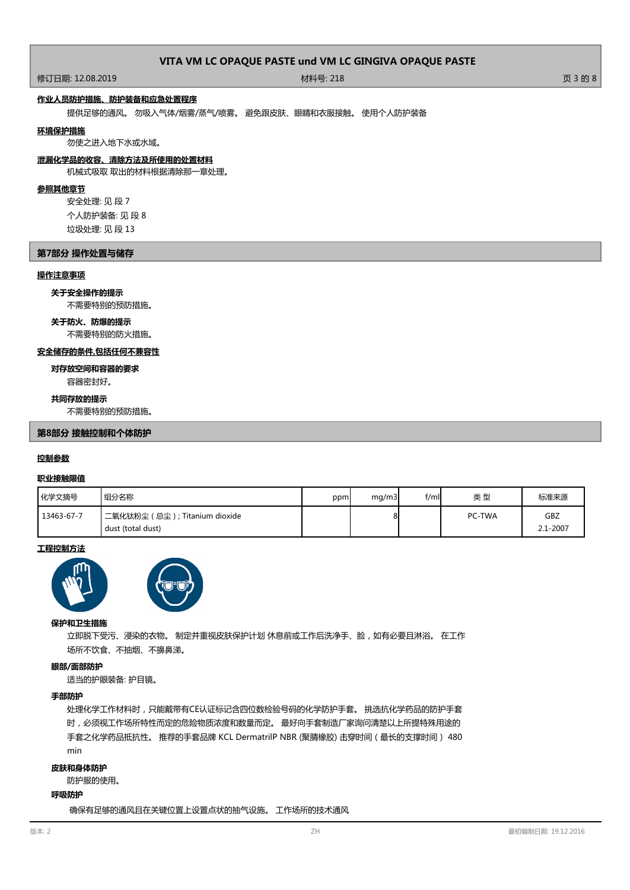修订日期: 12.08.2019 材料号: 218 页 3 的 8

## **作业人员防护措施、防护装备和应急处置程序**

提供足够的通风。 勿吸入气体/烟雾/蒸气/喷雾。 避免跟皮肤、眼睛和衣服接触。 使用个人防护装备

#### **环境保护措施**

勿使之进入地下水或水域。

#### **泄漏化学品的收容、清除方法及所使用的处置材料**

机械式吸取 取出的材料根据清除那一章处理。

#### **参照其他章节**

安全处理: 见 段 7 个人防护装备: 见 段 8 垃圾处理: 见 段 13

#### **第7部分 操作处置与储存**

#### **操作注意事项**

#### **关于安全操作的提示**

不需要特别的预防措施。

## **关于防火、防爆的提示**

不需要特别的防火措施。

### **安全储存的条件,包括任何不兼容性**

容器密封好。 **对存放空间和容器的要求**

#### **共同存放的提示**

不需要特别的预防措施。

#### **第8部分 接触控制和个体防护**

#### **控制参数**

#### **职业接触限值**

| 化学文摘号      | 组分名称                                                   | ppm | mq/m3 | $f$ /mll | 类型            | 标准来源            |
|------------|--------------------------------------------------------|-----|-------|----------|---------------|-----------------|
| 13463-67-7 | ່二氧化钛粉尘 ( 总尘 ) ; Titanium dioxide<br>dust (total dust) |     | οI    |          | <b>PC-TWA</b> | GBZ<br>2.1-2007 |

#### **工程控制方法**





#### **保护和卫生措施**

立即脱下受污、浸染的衣物。 制定并重视皮肤保护计划 休息前或工作后洗净手、脸,如有必要且淋浴。 在工作 场所不饮食、不抽烟、不擤鼻涕。

#### **眼部/面部防护**

适当的护眼装备: 护目镜。

#### **手部防护**

处理化学工作材料时,只能戴带有CE认证标记含四位数检验号码的化学防护手套。 挑选抗化学药品的防护手套 时,必须视工作场所特性而定的危险物质浓度和数量而定。 最好向手套制造厂家询问清楚以上所提特殊用途的 手套之化学药品抵抗性。 推荐的手套品牌 KCL DermatrilP NBR (聚腈橡胶) 击穿时间(最长的支撑时间) 480 min

#### **皮肤和身体防护**

防护服的使用。

#### **呼吸防护**

确保有足够的通风且在关键位置上设置点状的抽气设施。 工作场所的技术通风

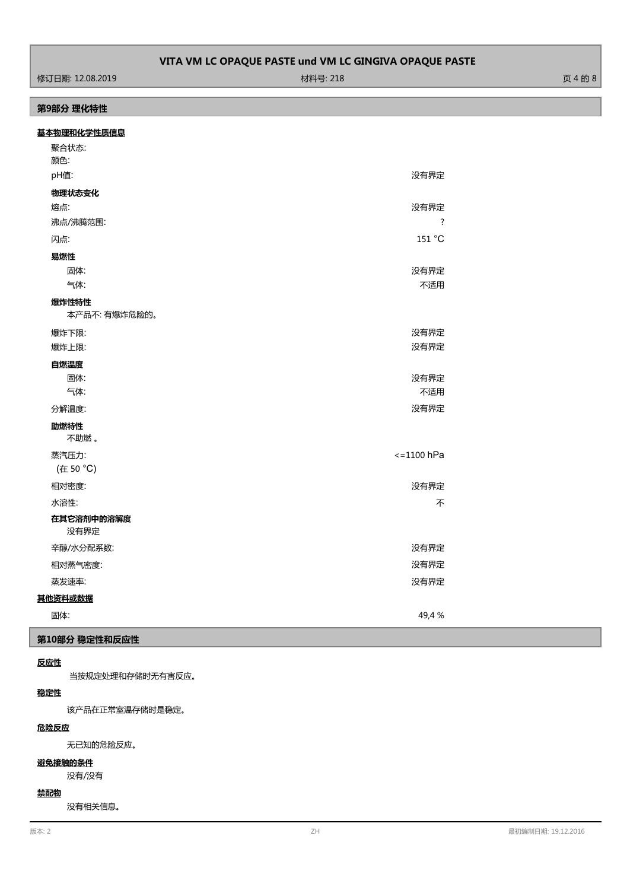ールの 2019 - 12.08.2019 - アンディアン・プログラム 1000ml 1000ml 1000ml 1000ml 1000ml 1000ml 1000ml 1000ml 1000ml 1000ml 100<br>サイトの 8000ml 1000ml 1000ml 1000ml 1000ml 1000ml 1000ml 1000ml 1000ml 1000ml 1000ml 1000ml 1000ml 1000ml 1000m

## **第9部分 理化特性**

## **基本物理和化学性质信息**

| 聚合状态:<br>颜色:           |                      |
|------------------------|----------------------|
| pH值:                   | 没有界定                 |
| 物理状态变化                 |                      |
| 熔点:                    | 没有界定                 |
| 沸点/沸腾范围:               | $\overline{?}$       |
| 闪点:                    | 151 °C               |
| 易燃性                    |                      |
| 固体:                    | 没有界定                 |
| 气体:                    | 不适用                  |
| 爆炸性特性<br>本产品不: 有爆炸危险的。 |                      |
| 爆炸下限:                  | 没有界定                 |
| 爆炸上限:                  | 没有界定                 |
| 自燃温度                   |                      |
| 固体:                    | 没有界定                 |
| 气体:                    | 不适用                  |
| 分解温度:                  | 没有界定                 |
| 助燃特性<br>不助燃。           |                      |
| 蒸汽压力:                  | $\epsilon$ =1100 hPa |
| (在 50 °C)              |                      |
| 相对密度:                  | 没有界定                 |
| 水溶性:                   | 不                    |
| 在其它溶剂中的溶解度<br>没有界定     |                      |
| 辛醇/水分配系数:              | 没有界定                 |
| 相对蒸气密度:                | 没有界定                 |
| 蒸发速率:                  | 没有界定                 |
| 其他资料或数据                |                      |
| 固体:                    | 49,4 %               |

## **第10部分 稳定性和反应性**

## **反应性**

当按规定处理和存储时无有害反应。

## **稳定性**

该产品在正常室温存储时是稳定。

### **危险反应**

无已知的危险反应。

#### **避免接触的条件**

没有/没有

## **禁配物**

没有相关信息。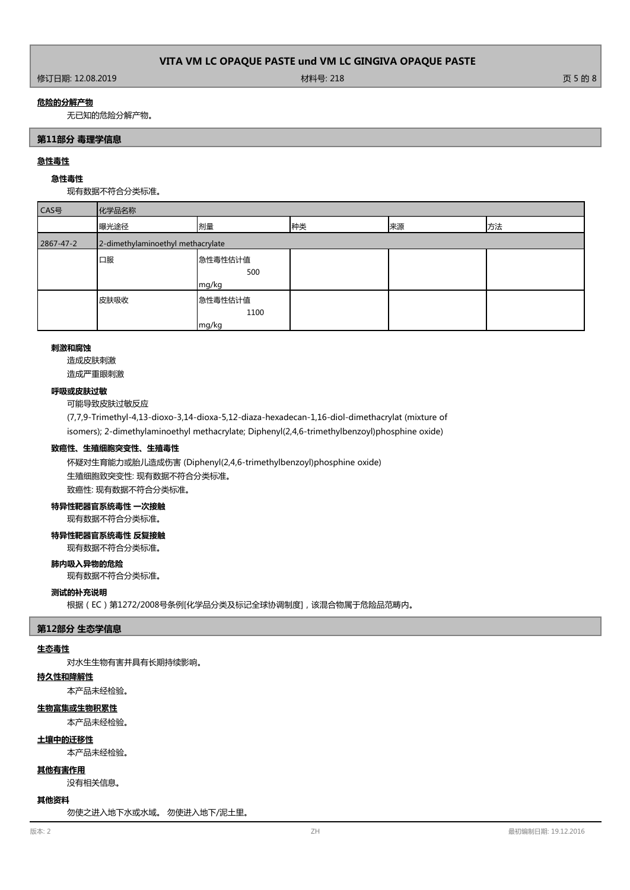#### **危险的分解产物**

无已知的危险分解产物。

#### **第11部分 毒理学信息**

#### **急性毒性**

## **急性毒性**

现有数据不符合分类标准。

| CAS号      | 化学品名称                             |                          |    |    |    |
|-----------|-----------------------------------|--------------------------|----|----|----|
|           | 曝光途径                              | 剂量                       | 种类 | 来源 | 方法 |
| 2867-47-2 | 2-dimethylaminoethyl methacrylate |                          |    |    |    |
|           | 口服                                | 急性毒性估计值<br>500<br>mg/kg  |    |    |    |
|           | 皮肤吸收                              | 急性毒性估计值<br>1100<br>mg/kg |    |    |    |

#### **刺激和腐蚀**

造成皮肤刺激 造成严重眼刺激

#### **呼吸或皮肤过敏**

可能导致皮肤过敏反应

(7,7,9-Trimethyl-4,13-dioxo-3,14-dioxa-5,12-diaza-hexadecan-1,16-diol-dimethacrylat (mixture of isomers); 2-dimethylaminoethyl methacrylate; Diphenyl(2,4,6-trimethylbenzoyl)phosphine oxide)

#### **致癌性、生殖细胞突变性、生殖毒性**

怀疑对生育能力或胎儿造成伤害 (Diphenyl(2,4,6-trimethylbenzoyl)phosphine oxide) 生殖细胞致突变性: 现有数据不符合分类标准。 致癌性: 现有数据不符合分类标准。

#### **特异性靶器官系统毒性 一次接触**

现有数据不符合分类标准。

## **特异性靶器官系统毒性 反复接触**

现有数据不符合分类标准。

#### **肺内吸入异物的危险**

现有数据不符合分类标准。

#### **测试的补充说明**

根据(EC)第1272/2008号条例[化学品分类及标记全球协调制度],该混合物属于危险品范畴内。

#### **第12部分 生态学信息**

## **生态毒性**

对水生生物有害并具有长期持续影响。

### **持久性和降解性**

本产品未经检验。

## **生物富集或生物积累性**

本产品未经检验。

# **土壤中的迁移性**

本产品未经检验。

## **其他有害作用**

没有相关信息。

#### **其他资料**

勿使之进入地下水或水域。 勿使进入地下/泥土里。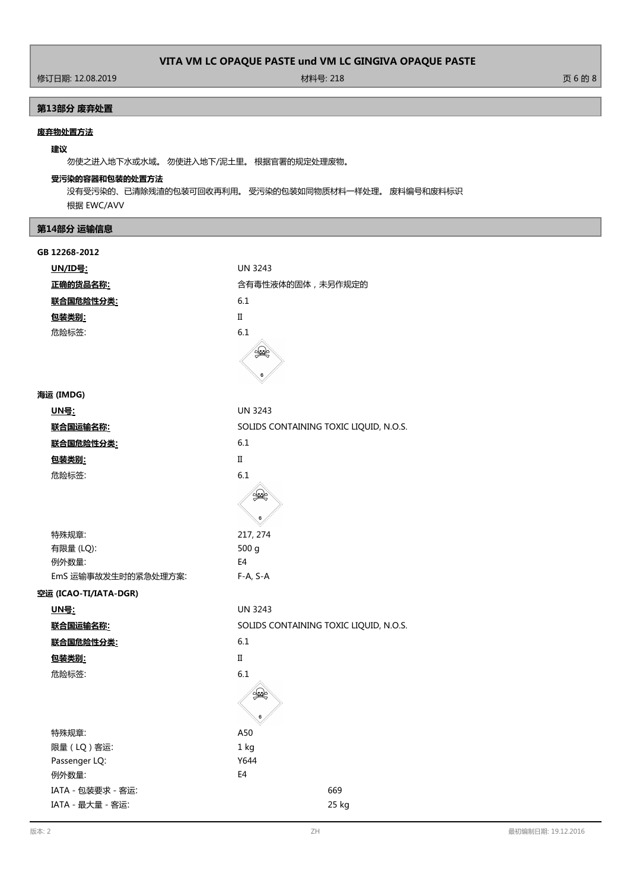ールの の の 2019 - 12.08.2019 - ウェブ・エンジェント 1999 - 材料号: 218 - カランド・エンジェント 1999 - カランド・エンジェント 5000 000 000 000 000 0<br>サイト 1990 - カランド・エンジェント 1990 - カランド・エンジェント 1990 - 1990 - 1990 - 1990 - 1990 - 1990 - 1990 - 1990 - 1990 - 199

# **第13部分 废弃处置**

## **废弃物处置方法**

## **建议**

勿使之进入地下水或水域。 勿使进入地下/泥土里。 根据官署的规定处理废物。

## **受污染的容器和包装的处置方法**

没有受污染的、已清除残渣的包装可回收再利用。 受污染的包装如同物质材料一样处理。 废料编号和废料标识 根据 EWC/AVV

## **第14部分 运输信息**

| GB 12268-2012         |                                        |
|-----------------------|----------------------------------------|
| <u> UN/ID号:</u>       | <b>UN 3243</b>                         |
| 正确的货品名称:              | 含有毒性液体的固体,未另作规定的                       |
| 联合国危险性分类:             | 6.1                                    |
| 包装类别:                 | $\scriptstyle\rm II$                   |
| 危险标签:                 | 6.1                                    |
|                       | ٢                                      |
| 海运 (IMDG)             |                                        |
| <u>UN号:</u>           | <b>UN 3243</b>                         |
| <u> 联合国运输名称:</u>      | SOLIDS CONTAINING TOXIC LIQUID, N.O.S. |
| <u>联合国危险性分类:</u>      | 6.1                                    |
| <u>包装类别:</u>          | $\scriptstyle\rm II$                   |
| 危险标签:                 | 6.1                                    |
|                       | 6                                      |
| 特殊规章:                 | 217, 274                               |
| 有限量 (LQ):             | 500 g                                  |
| 例外数量:                 | E <sub>4</sub>                         |
| EmS 运输事故发生时的紧急处理方案:   | $F-A, S-A$                             |
| 空运 (ICAO-TI/IATA-DGR) |                                        |
| <u> UN号:</u>          | <b>UN 3243</b>                         |
| 联合国运输名称:              | SOLIDS CONTAINING TOXIC LIQUID, N.O.S. |
| 联合国危险性分类:             | 6.1                                    |
| 包装类别:                 | $\mathbf{I}$                           |
| 危险标签:                 | 6.1                                    |
|                       | 6                                      |
| 特殊规章:                 | A50                                    |
| 限量(LQ)客运:             | 1 kg                                   |
| Passenger LQ:         | Y644                                   |
| 例外数量:                 | E4                                     |
| IATA - 包装要求 - 客运:     | 669                                    |
| IATA - 最大量 - 客运:      | 25 kg                                  |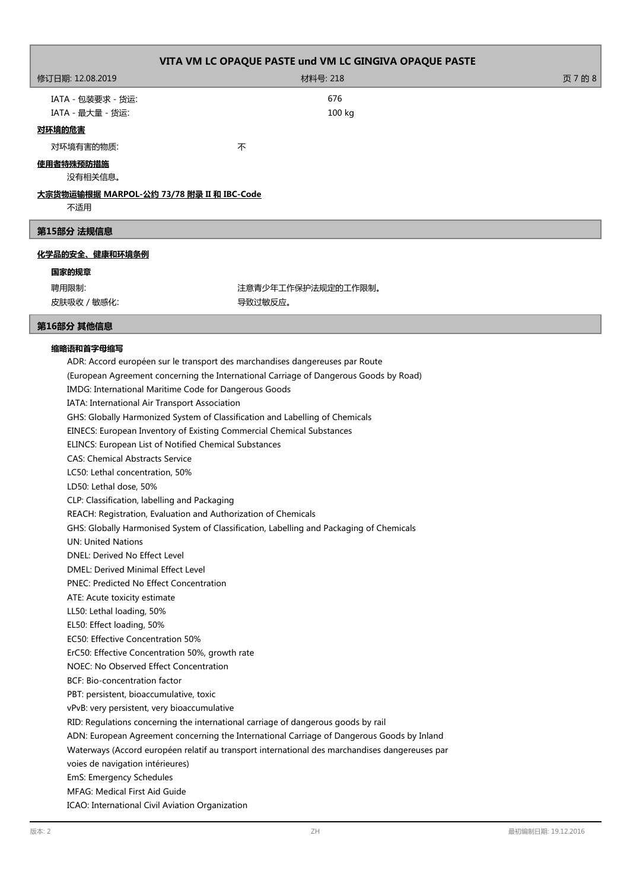| VITA VM LC OPAQUE PASTE und VM LC GINGIVA OPAQUE PASTE |                    |         |  |  |
|--------------------------------------------------------|--------------------|---------|--|--|
| 修订日期: 12.08.2019                                       | 材料号: 218           | 页 7 的 8 |  |  |
| IATA - 包装要求 - 货运:                                      | 676                |         |  |  |
| IATA - 最大量 - 货运:                                       | 100 kg             |         |  |  |
| 对环境的危害                                                 |                    |         |  |  |
| 对环境有害的物质:                                              | 不                  |         |  |  |
| 使用者特殊预防措施                                              |                    |         |  |  |
| 没有相关信息。                                                |                    |         |  |  |
| <u>大宗货物运输根据 MARPOL-公约 73/78 附录 II 和 IBC-Code</u>       |                    |         |  |  |
| 不适用                                                    |                    |         |  |  |
| 第15部分 法规信息                                             |                    |         |  |  |
| 化学品的安全、健康和环境条例                                         |                    |         |  |  |
| 国家的规章                                                  |                    |         |  |  |
| 聘用限制:                                                  | 注意青少年工作保护法规定的工作限制。 |         |  |  |
| 皮肤吸收 / 敏感化:                                            | 导致过敏反应。            |         |  |  |

## **第16部分 其他信息**

## **缩略语和首字母缩写**

ADR: Accord européen sur le transport des marchandises dangereuses par Route (European Agreement concerning the International Carriage of Dangerous Goods by Road) IMDG: International Maritime Code for Dangerous Goods IATA: International Air Transport Association GHS: Globally Harmonized System of Classification and Labelling of Chemicals EINECS: European Inventory of Existing Commercial Chemical Substances ELINCS: European List of Notified Chemical Substances CAS: Chemical Abstracts Service LC50: Lethal concentration, 50% LD50: Lethal dose, 50% CLP: Classification, labelling and Packaging REACH: Registration, Evaluation and Authorization of Chemicals GHS: Globally Harmonised System of Classification, Labelling and Packaging of Chemicals UN: United Nations DNEL: Derived No Effect Level DMEL: Derived Minimal Effect Level PNEC: Predicted No Effect Concentration ATE: Acute toxicity estimate LL50: Lethal loading, 50% EL50: Effect loading, 50% EC50: Effective Concentration 50% ErC50: Effective Concentration 50%, growth rate NOEC: No Observed Effect Concentration BCF: Bio-concentration factor PBT: persistent, bioaccumulative, toxic vPvB: very persistent, very bioaccumulative RID: Regulations concerning the international carriage of dangerous goods by rail ADN: European Agreement concerning the International Carriage of Dangerous Goods by Inland Waterways (Accord européen relatif au transport international des marchandises dangereuses par voies de navigation intérieures) EmS: Emergency Schedules MFAG: Medical First Aid Guide ICAO: International Civil Aviation Organization